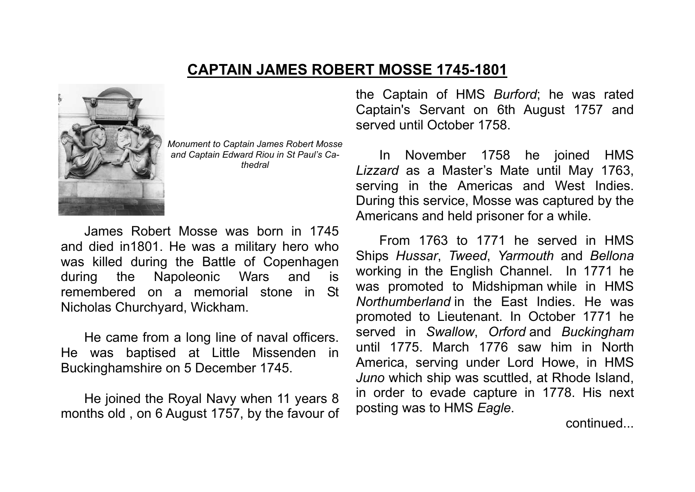## **CAPTAIN JAMES ROBERT MOSSE 1745-1801**



*Monument to Captain James Robert Mosse and Captain Edward Riou in St Paul's Cathedral* 

 James Robert Mosse was born in 1745 and died in1801. He was a military hero who was killed during the Battle of Copenhagen during the Napoleonic Wars and is remembered on a memorial stone in St Nicholas Churchyard, Wickham.

 He came from a long line of naval officers. He was baptised at Little Missenden in Buckinghamshire on 5 December 1745.

 He joined the Royal Navy when 11 years 8 months old , on 6 August 1757, by the favour of the Captain of HMS *Burford*; he was rated Captain's Servant on 6th August 1757 and served until October 1758.

 In November 1758 he joined HMS *Lizzard* as a Master's Mate until May 1763, serving in the Americas and West Indies. During this service, Mosse was captured by the Americans and held prisoner for a while.

From 1763 to 1771 he served in HMS Ships *Hussar*, *Tweed*, *Yarmouth* and *Bellona* working in the English Channel. In 1771 he was promoted to Midshipman while in HMS *Northumberland* in the East Indies. He was promoted to Lieutenant. In October 1771 he served in *Swallow*, *Orford* and *Buckingham* until 1775. March 1776 saw him in North America, serving under Lord Howe, in HMS *Juno* which ship was scuttled, at Rhode Island, in order to evade capture in 1778. His next posting was to HMS *Eagle*.<br>...continued...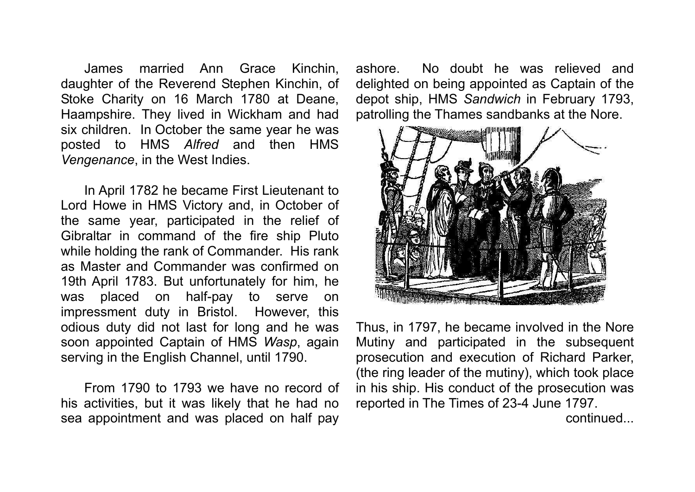James married Ann Grace Kinchin, daughter of the Reverend Stephen Kinchin, of Stoke Charity on 16 March 1780 at Deane, Haampshire. They lived in Wickham and had six children. In October the same year he was posted to HMS *Alfred* and then HMS *Vengenance*, in the West Indies.

 In April 1782 he became First Lieutenant to Lord Howe in HMS Victory and, in October of the same year, participated in the relief of Gibraltar in command of the fire ship Pluto while holding the rank of Commander. His rank as Master and Commander was confirmed on 19th April 1783. But unfortunately for him, he was placed on half-pay to serve on impressment duty in Bristol. However, this odious duty did not last for long and he was soon appointed Captain of HMS *Wasp*, again serving in the English Channel, until 1790.

 From 1790 to 1793 we have no record of his activities, but it was likely that he had no sea appointment and was placed on half pay

ashore. No doubt he was relieved and delighted on being appointed as Captain of the depot ship, HMS *Sandwich* in February 1793, patrolling the Thames sandbanks at the Nore.



Thus, in 1797, he became involved in the Nore Mutiny and participated in the subsequent prosecution and execution of Richard Parker, (the ring leader of the mutiny), which took place in his ship. His conduct of the prosecution was reported in The Times of 23-4 June 1797.

continued...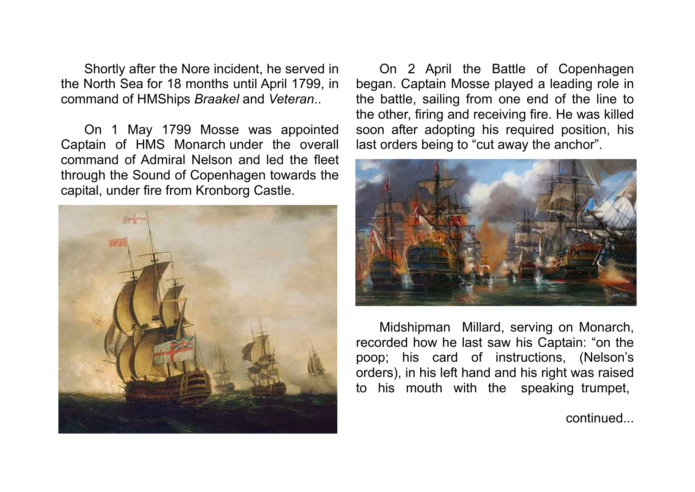Shortly after the Nore incident, he served in the North Sea for 18 months until April 1799, in command of HMShips *Braakel* and *Veteran*..

 On 1 May 1799 Mosse was appointed Captain of HMS Monarch under the overall command of Admiral Nelson and led the fleet through the Sound of Copenhagen towards the capital, under fire from Kronborg Castle.



 On 2 April the Battle of Copenhagen began. Captain Mosse played a leading role in the battle, sailing from one end of the line to the other, firing and receiving fire. He was killed soon after adopting his required position, his last orders being to "cut away the anchor".



 Midshipman Millard, serving on Monarch, recorded how he last saw his Captain: "on the poop; his card of instructions, (Nelson's orders), in his left hand and his right was raised to his mouth with the speaking trumpet,

continued...